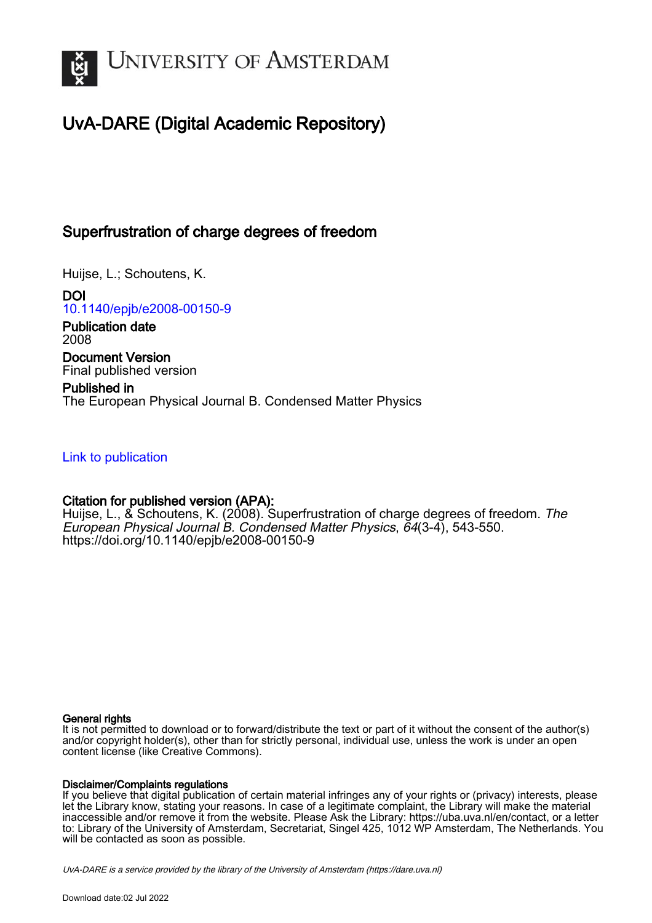

# UvA-DARE (Digital Academic Repository)

## Superfrustration of charge degrees of freedom

Huijse, L.; Schoutens, K.

DOI [10.1140/epjb/e2008-00150-9](https://doi.org/10.1140/epjb/e2008-00150-9)

Publication date 2008

Document Version Final published version

Published in The European Physical Journal B. Condensed Matter Physics

[Link to publication](https://dare.uva.nl/personal/pure/en/publications/superfrustration-of-charge-degrees-of-freedom(d8b8b3e3-ebf9-4e3a-b072-12e9d0c1c055).html)

## Citation for published version (APA):

Huijse, L., & Schoutens, K. (2008). Superfrustration of charge degrees of freedom. The European Physical Journal B. Condensed Matter Physics, 64(3-4), 543-550. <https://doi.org/10.1140/epjb/e2008-00150-9>

## General rights

It is not permitted to download or to forward/distribute the text or part of it without the consent of the author(s) and/or copyright holder(s), other than for strictly personal, individual use, unless the work is under an open content license (like Creative Commons).

## Disclaimer/Complaints regulations

If you believe that digital publication of certain material infringes any of your rights or (privacy) interests, please let the Library know, stating your reasons. In case of a legitimate complaint, the Library will make the material inaccessible and/or remove it from the website. Please Ask the Library: https://uba.uva.nl/en/contact, or a letter to: Library of the University of Amsterdam, Secretariat, Singel 425, 1012 WP Amsterdam, The Netherlands. You will be contacted as soon as possible.

UvA-DARE is a service provided by the library of the University of Amsterdam (http*s*://dare.uva.nl)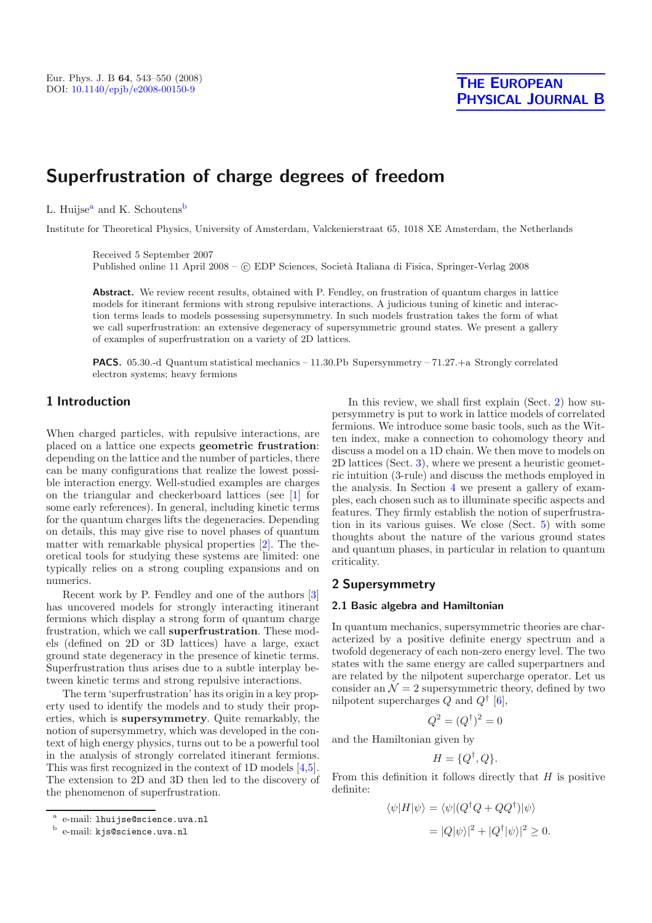# **Superfrustration of charge degrees of freedom**

L. Huijse<sup>a</sup> and K. Schoutens<sup>b</sup>

Institute for Theoretical Physics, University of Amsterdam, Valckenierstraat 65, 1018 XE Amsterdam, the Netherlands

Received 5 September 2007 Published online 11 April 2008 –  $\odot$  EDP Sciences, Società Italiana di Fisica, Springer-Verlag 2008

**Abstract.** We review recent results, obtained with P. Fendley, on frustration of quantum charges in lattice models for itinerant fermions with strong repulsive interactions. A judicious tuning of kinetic and interaction terms leads to models possessing supersymmetry. In such models frustration takes the form of what we call superfrustration: an extensive degeneracy of supersymmetric ground states. We present a gallery of examples of superfrustration on a variety of 2D lattices.

**PACS.** 05.30.-d Quantum statistical mechanics – 11.30.Pb Supersymmetry – 71.27.+a Strongly correlated electron systems; heavy fermions

## **1 Introduction**

When charged particles, with repulsive interactions, are placed on a lattice one expects **geometric frustration**: depending on the lattice and the number of particles, there can be many configurations that realize the lowest possible interaction energy. Well-studied examples are charges on the triangular and checkerboard lattices (see [\[1\]](#page-8-0) for some early references). In general, including kinetic terms for the quantum charges lifts the degeneracies. Depending on details, this may give rise to novel phases of quantum matter with remarkable physical properties [\[2](#page-8-1)]. The theoretical tools for studying these systems are limited: one typically relies on a strong coupling expansions and on numerics.

Recent work by P. Fendley and one of the authors [\[3\]](#page-8-2) has uncovered models for strongly interacting itinerant fermions which display a strong form of quantum charge frustration, which we call **superfrustration**. These models (defined on 2D or 3D lattices) have a large, exact ground state degeneracy in the presence of kinetic terms. Superfrustration thus arises due to a subtle interplay between kinetic terms and strong repulsive interactions.

The term 'superfrustration' has its origin in a key property used to identify the models and to study their properties, which is **supersymmetry**. Quite remarkably, the notion of supersymmetry, which was developed in the context of high energy physics, turns out to be a powerful tool in the analysis of strongly correlated itinerant fermions. This was first recognized in the context of 1D models [\[4](#page-8-3)[,5\]](#page-8-4). The extension to 2D and 3D then led to the discovery of the phenomenon of superfrustration.

In this review, we shall first explain (Sect. [2\)](#page-1-0) how supersymmetry is put to work in lattice models of correlated fermions. We introduce some basic tools, such as the Witten index, make a connection to cohomology theory and discuss a model on a 1D chain. We then move to models on 2D lattices (Sect. [3\)](#page-4-0), where we present a heuristic geometric intuition (3-rule) and discuss the methods employed in the analysis. In Section [4](#page-5-0) we present a gallery of examples, each chosen such as to illuminate specific aspects and features. They firmly establish the notion of superfrustration in its various guises. We close (Sect. [5\)](#page-8-5) with some thoughts about the nature of the various ground states and quantum phases, in particular in relation to quantum criticality.

### <span id="page-1-0"></span>**2 Supersymmetry**

#### **2.1 Basic algebra and Hamiltonian**

In quantum mechanics, supersymmetric theories are characterized by a positive definite energy spectrum and a twofold degeneracy of each non-zero energy level. The two states with the same energy are called superpartners and are related by the nilpotent supercharge operator. Let us consider an  $\mathcal{N} = 2$  supersymmetric theory, defined by two nilpotent supercharges  $Q$  and  $Q^{\dagger}$  [\[6\]](#page-8-6),

$$
Q^2 = (Q^{\dagger})^2 = 0
$$

and the Hamiltonian given by

$$
H = \{Q^{\dagger}, Q\}.
$$

From this definition it follows directly that  $H$  is positive definite:

$$
\langle \psi | H | \psi \rangle = \langle \psi | (Q^{\dagger} Q + Q Q^{\dagger}) | \psi \rangle
$$
  
= 
$$
|Q | \psi \rangle |^2 + |Q^{\dagger} | \psi \rangle |^2 \ge 0.
$$

e-mail: lhuijse@science.uva.nl

<sup>b</sup> e-mail: kjs@science.uva.nl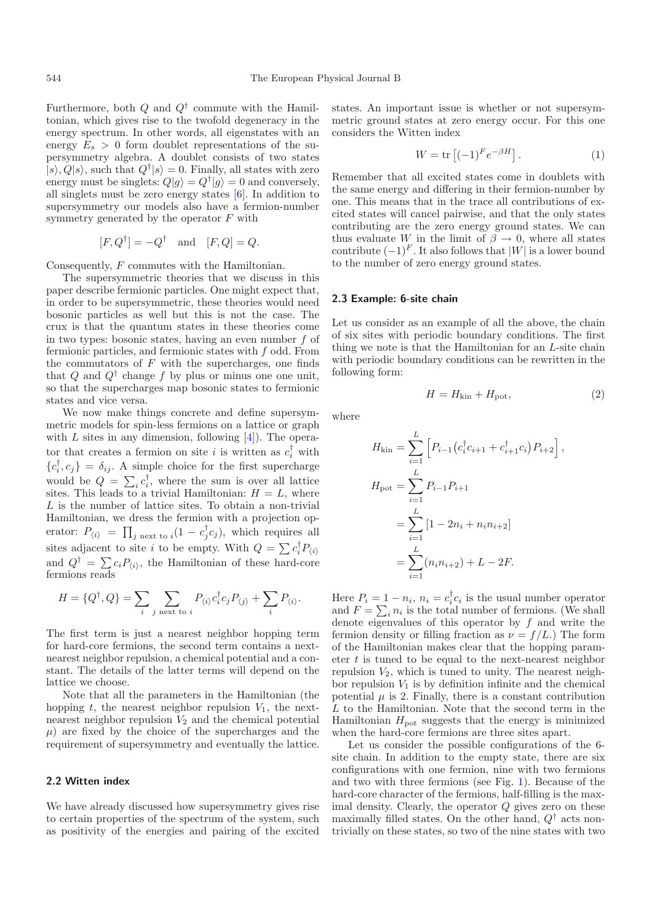Furthermore, both  $Q$  and  $Q^{\dagger}$  commute with the Hamiltonian, which gives rise to the twofold degeneracy in the energy spectrum. In other words, all eigenstates with an energy  $E_s > 0$  form doublet representations of the supersymmetry algebra. A doublet consists of two states  $|s\rangle, Q|s\rangle$ , such that  $Q^{\dagger}|s\rangle = 0$ . Finally, all states with zero energy must be singlets:  $Q|g\rangle = Q^{\dagger}|g\rangle = 0$  and conversely, all singlets must be zero energy states [\[6](#page-8-6)]. In addition to supersymmetry our models also have a fermion-number symmetry generated by the operator  $F$  with

$$
[F,Q^{\dagger}]=-Q^{\dagger}
$$
 and  $[F,Q]=Q$ .

Consequently, F commutes with the Hamiltonian.

The supersymmetric theories that we discuss in this paper describe fermionic particles. One might expect that, in order to be supersymmetric, these theories would need bosonic particles as well but this is not the case. The crux is that the quantum states in these theories come in two types: bosonic states, having an even number  $f$  of fermionic particles, and fermionic states with f odd. From the commutators of  $F$  with the supercharges, one finds that Q and  $Q^{\dagger}$  change f by plus or minus one one unit, so that the supercharges map bosonic states to fermionic states and vice versa.

We now make things concrete and define supersymmetric models for spin-less fermions on a lattice or graph with  $L$  sites in any dimension, following  $[4]$  $[4]$ . The operator that creates a fermion on site i is written as  $c_i^{\dagger}$  with  ${c_i^{\dagger}, c_j} = \delta_{ij}$ . A simple choice for the first supercharge would be  $Q = \sum_i c_i^{\dagger}$ , where the sum is over all lattice sites. This leads to a trivial Hamiltonian:  $H = L$ , where L is the number of lattice sites. To obtain a non-trivial Hamiltonian, we dress the fermion with a projection operator:  $P_{\langle i \rangle} = \prod_{j \text{ next to } i} (1 - c_j^{\dagger} c_j)$ , which requires all sites adjacent to site *i* to be empty. With  $Q = \sum c_i^{\dagger} P_{\langle i \rangle}$ and  $Q^{\dagger} = \sum_i c_i P_{\langle i \rangle}$ , the Hamiltonian of these hard-core fermions reads

$$
H = \{Q^{\dagger}, Q\} = \sum_{i} \sum_{j \text{ next to } i} P_{\langle i \rangle} c_i^{\dagger} c_j P_{\langle j \rangle} + \sum_{i} P_{\langle i \rangle}.
$$

The first term is just a nearest neighbor hopping term for hard-core fermions, the second term contains a nextnearest neighbor repulsion, a chemical potential and a constant. The details of the latter terms will depend on the lattice we choose.

Note that all the parameters in the Hamiltonian (the hopping t, the nearest neighbor repulsion  $V_1$ , the nextnearest neighbor repulsion  $V_2$  and the chemical potential  $\mu$ ) are fixed by the choice of the supercharges and the requirement of supersymmetry and eventually the lattice.

#### **2.2 Witten index**

We have already discussed how supersymmetry gives rise to certain properties of the spectrum of the system, such as positivity of the energies and pairing of the excited states. An important issue is whether or not supersymmetric ground states at zero energy occur. For this one considers the Witten index

$$
W = \text{tr}\left[(-1)^F e^{-\beta H}\right].\tag{1}
$$

Remember that all excited states come in doublets with the same energy and differing in their fermion-number by one. This means that in the trace all contributions of excited states will cancel pairwise, and that the only states contributing are the zero energy ground states. We can thus evaluate W in the limit of  $\beta \to 0$ , where all states contribute  $(-1)^F$ . It also follows that  $|W|$  is a lower bound to the number of zero energy ground states.

#### **2.3 Example: 6-site chain**

Let us consider as an example of all the above, the chain of six sites with periodic boundary conditions. The first thing we note is that the Hamiltonian for an L-site chain with periodic boundary conditions can be rewritten in the following form:

$$
H = H_{\rm kin} + H_{\rm pot},\tag{2}
$$

<span id="page-2-0"></span>where

$$
H_{\text{kin}} = \sum_{i=1}^{L} \left[ P_{i-1} \left( c_i^{\dagger} c_{i+1} + c_{i+1}^{\dagger} c_i \right) P_{i+2} \right],
$$
  
\n
$$
H_{\text{pot}} = \sum_{i=1}^{L} P_{i-1} P_{i+1}
$$
  
\n
$$
= \sum_{i=1}^{L} \left[ 1 - 2n_i + n_i n_{i+2} \right]
$$
  
\n
$$
= \sum_{i=1}^{L} (n_i n_{i+2}) + L - 2F.
$$

Here  $P_i = 1 - n_i$ ,  $n_i = c_i^{\dagger} c_i$  is the usual number operator and  $F = \sum_i n_i$  is the total number of fermions. (We shall denote eigenvalues of this operator by  $f$  and write the fermion density or filling fraction as  $\nu = f/L$ .) The form of the Hamiltonian makes clear that the hopping parameter  $t$  is tuned to be equal to the next-nearest neighbor repulsion  $V_2$ , which is tuned to unity. The nearest neighbor repulsion  $V_1$  is by definition infinite and the chemical potential  $\mu$  is 2. Finally, there is a constant contribution  $L$  to the Hamiltonian. Note that the second term in the Hamiltonian  $H_{\text{pot}}$  suggests that the energy is minimized when the hard-core fermions are three sites apart.

Let us consider the possible configurations of the 6 site chain. In addition to the empty state, there are six configurations with one fermion, nine with two fermions and two with three fermions (see Fig. [1\)](#page-3-0). Because of the hard-core character of the fermions, half-filling is the maximal density. Clearly, the operator  $Q$  gives zero on these maximally filled states. On the other hand,  $Q^{\dagger}$  acts nontrivially on these states, so two of the nine states with two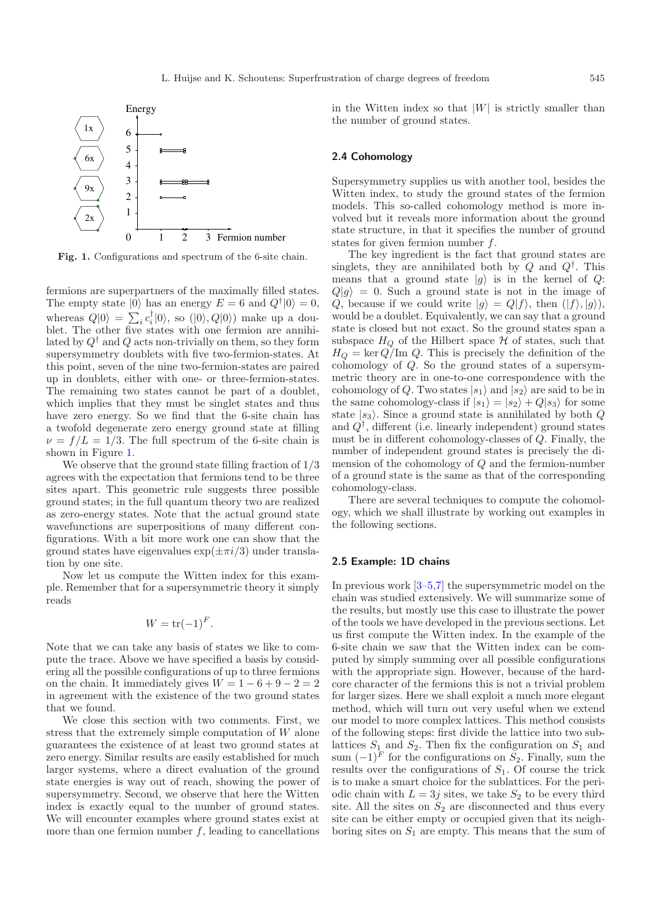<span id="page-3-0"></span>

**Fig. 1.** Configurations and spectrum of the 6-site chain.

fermions are superpartners of the maximally filled states. The empty state  $|0\rangle$  has an energy  $E = 6$  and  $Q^{\dagger} |0\rangle = 0$ , whereas  $Q|0\rangle = \sum_i c_i^{\dagger} |0\rangle$ , so  $(|0\rangle, Q|0\rangle)$  make up a doublet. The other five states with one fermion are annihilated by  $Q^{\dagger}$  and  $Q$  acts non-trivially on them, so they form supersymmetry doublets with five two-fermion-states. At this point, seven of the nine two-fermion-states are paired up in doublets, either with one- or three-fermion-states. The remaining two states cannot be part of a doublet, which implies that they must be singlet states and thus have zero energy. So we find that the 6-site chain has a twofold degenerate zero energy ground state at filling  $\nu = f/L = 1/3$ . The full spectrum of the 6-site chain is shown in Figure [1.](#page-3-0)

We observe that the ground state filling fraction of  $1/3$ agrees with the expectation that fermions tend to be three sites apart. This geometric rule suggests three possible ground states; in the full quantum theory two are realized as zero-energy states. Note that the actual ground state wavefunctions are superpositions of many different configurations. With a bit more work one can show that the ground states have eigenvalues  $\exp(\pm \pi i/3)$  under translation by one site.

Now let us compute the Witten index for this example. Remember that for a supersymmetric theory it simply reads

$$
W = \operatorname{tr}(-1)^F.
$$

Note that we can take any basis of states we like to compute the trace. Above we have specified a basis by considering all the possible configurations of up to three fermions on the chain. It immediately gives  $W = 1 - 6 + 9 - 2 = 2$ in agreement with the existence of the two ground states that we found.

We close this section with two comments. First, we stress that the extremely simple computation of W alone guarantees the existence of at least two ground states at zero energy. Similar results are easily established for much larger systems, where a direct evaluation of the ground state energies is way out of reach, showing the power of supersymmetry. Second, we observe that here the Witten index is exactly equal to the number of ground states. We will encounter examples where ground states exist at more than one fermion number  $f$ , leading to cancellations

in the Witten index so that  $|W|$  is strictly smaller than the number of ground states.

#### **2.4 Cohomology**

Supersymmetry supplies us with another tool, besides the Witten index, to study the ground states of the fermion models. This so-called cohomology method is more involved but it reveals more information about the ground state structure, in that it specifies the number of ground states for given fermion number f.

The key ingredient is the fact that ground states are singlets, they are annihilated both by Q and  $Q^{\dagger}$ . This means that a ground state  $|g\rangle$  is in the kernel of Q:  $Q|g\rangle = 0$ . Such a ground state is not in the image of Q, because if we could write  $|g\rangle = Q|f\rangle$ , then  $(|f\rangle, |g\rangle)$ , would be a doublet. Equivalently, we can say that a ground state is closed but not exact. So the ground states span a subspace  $H_Q$  of the Hilbert space  $H$  of states, such that  $H_Q = \ker Q/\text{Im } Q$ . This is precisely the definition of the cohomology of Q. So the ground states of a supersymmetric theory are in one-to-one correspondence with the cohomology of Q. Two states  $|s_1\rangle$  and  $|s_2\rangle$  are said to be in the same cohomology-class if  $|s_1\rangle = |s_2\rangle + Q|s_3\rangle$  for some state  $|s_3\rangle$ . Since a ground state is annihilated by both Q and  $Q^{\dagger}$ , different (i.e. linearly independent) ground states must be in different cohomology-classes of Q. Finally, the number of independent ground states is precisely the dimension of the cohomology of Q and the fermion-number of a ground state is the same as that of the corresponding cohomology-class.

There are several techniques to compute the cohomology, which we shall illustrate by working out examples in the following sections.

#### **2.5 Example: 1D chains**

In previous work  $[3-5,7]$  $[3-5,7]$  $[3-5,7]$  the supersymmetric model on the chain was studied extensively. We will summarize some of the results, but mostly use this case to illustrate the power of the tools we have developed in the previous sections. Let us first compute the Witten index. In the example of the 6-site chain we saw that the Witten index can be computed by simply summing over all possible configurations with the appropriate sign. However, because of the hardcore character of the fermions this is not a trivial problem for larger sizes. Here we shall exploit a much more elegant method, which will turn out very useful when we extend our model to more complex lattices. This method consists of the following steps: first divide the lattice into two sublattices  $S_1$  and  $S_2$ . Then fix the configuration on  $S_1$  and sum  $(-1)^F$  for the configurations on  $S_2$ . Finally, sum the results over the configurations of  $S_1$ . Of course the trick is to make a smart choice for the sublattices. For the periodic chain with  $L = 3j$  sites, we take  $S_2$  to be every third site. All the sites on  $S_2$  are disconnected and thus every site can be either empty or occupied given that its neighboring sites on  $S_1$  are empty. This means that the sum of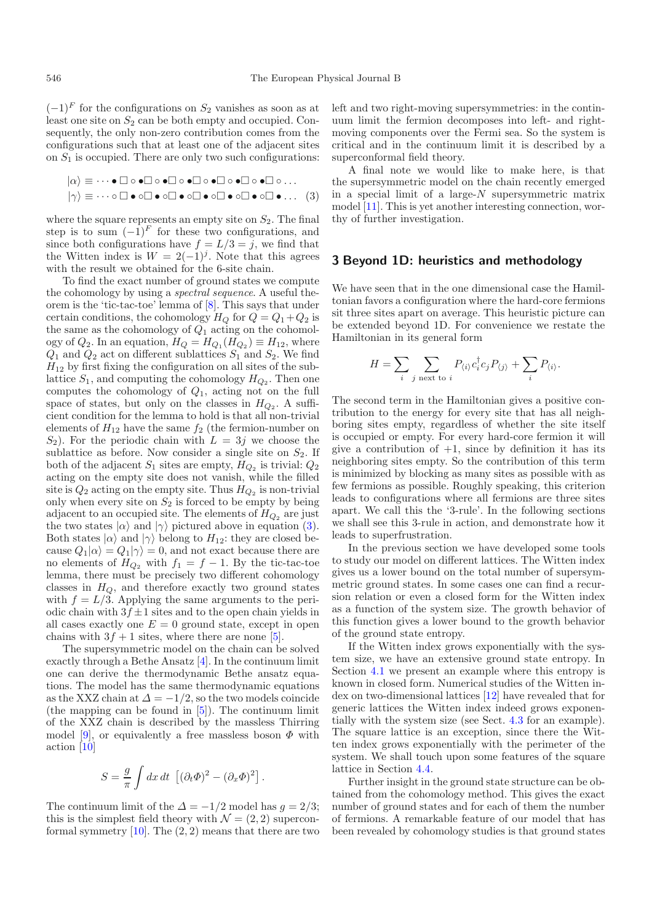$(-1)^F$  for the configurations on  $S_2$  vanishes as soon as at least one site on  $S_2$  can be both empty and occupied. Consequently, the only non-zero contribution comes from the configurations such that at least one of the adjacent sites on  $S_1$  is occupied. There are only two such configurations:

$$
|\alpha\rangle \equiv \cdots \bullet \Box \circ \bullet \Box \circ \bullet \Box \circ \bullet \Box \circ \bullet \Box \circ \bullet \Box \circ \bullet \Box \circ \ldots
$$

$$
|\gamma\rangle \equiv \cdots \circ \Box \bullet \circ \Box \bullet \circ \Box \bullet \circ \Box \bullet \circ \Box \bullet \circ \Box \bullet \circ \Box \bullet \ldots \quad (3)
$$

where the square represents an empty site on  $S_2$ . The final step is to sum  $(-1)^F$  for these two configurations, and since both configurations have  $f = L/3 = j$ , we find that the Witten index is  $W = 2(-1)^j$ . Note that this agrees with the result we obtained for the 6-site chain.

To find the exact number of ground states we compute the cohomology by using a *spectral sequence*. A useful theorem is the 'tic-tac-toe' lemma of [\[8\]](#page-8-8). This says that under certain conditions, the cohomology  $H_Q$  for  $Q = Q_1 + Q_2$  is the same as the cohomology of  $Q_1$  acting on the cohomology of  $Q_2$ . In an equation,  $H_Q = H_{Q_1}(H_{Q_2}) \equiv H_{12}$ , where  $Q_1$  and  $Q_2$  act on different sublattices  $S_1$  and  $S_2$ . We find  $H_{12}$  by first fixing the configuration on all sites of the sublattice  $S_1$ , and computing the cohomology  $H_{Q_2}$ . Then one computes the cohomology of  $Q_1$ , acting not on the full space of states, but only on the classes in  $H_{Q_2}$ . A sufficient condition for the lemma to hold is that all non-trivial elements of  $H_{12}$  have the same  $f_2$  (the fermion-number on  $S_2$ ). For the periodic chain with  $L = 3j$  we choose the sublattice as before. Now consider a single site on  $S_2$ . If both of the adjacent  $S_1$  sites are empty,  $H_{Q_2}$  is trivial:  $Q_2$ acting on the empty site does not vanish, while the filled site is  $Q_2$  acting on the empty site. Thus  $H_{Q_2}$  is non-trivial only when every site on  $S_2$  is forced to be empty by being adjacent to an occupied site. The elements of  $H_{Q_2}$  are just the two states  $|\alpha\rangle$  and  $|\gamma\rangle$  pictured above in equation [\(3\)](#page-2-0). Both states  $|\alpha\rangle$  and  $|\gamma\rangle$  belong to  $H_{12}$ : they are closed because  $Q_1|\alpha\rangle = Q_1|\gamma\rangle = 0$ , and not exact because there are no elements of  $H_{Q_2}$  with  $f_1 = f - 1$ . By the tic-tac-toe lemma, there must be precisely two different cohomology classes in  $H_Q$ , and therefore exactly two ground states with  $f = L/3$ . Applying the same arguments to the periodic chain with  $3f \pm 1$  sites and to the open chain yields in all cases exactly one  $E = 0$  ground state, except in open chains with  $3f + 1$  sites, where there are none [\[5\]](#page-8-4).

The supersymmetric model on the chain can be solved exactly through a Bethe Ansatz [\[4](#page-8-3)]. In the continuum limit one can derive the thermodynamic Bethe ansatz equations. The model has the same thermodynamic equations as the XXZ chain at  $\Delta = -1/2$ , so the two models coincide (the mapping can be found in [\[5\]](#page-8-4)). The continuum limit of the XXZ chain is described by the massless Thirring model [\[9\]](#page-8-9), or equivalently a free massless boson  $\Phi$  with action [\[10\]](#page-8-10)

$$
S = \frac{g}{\pi} \int dx dt \, \left[ (\partial_t \Phi)^2 - (\partial_x \Phi)^2 \right].
$$

The continuum limit of the  $\Delta = -1/2$  model has  $g = 2/3$ ; this is the simplest field theory with  $\mathcal{N} = (2, 2)$  superconformal symmetry  $[10]$ . The  $(2, 2)$  means that there are two

left and two right-moving supersymmetries: in the continuum limit the fermion decomposes into left- and rightmoving components over the Fermi sea. So the system is critical and in the continuum limit it is described by a superconformal field theory.

A final note we would like to make here, is that the supersymmetric model on the chain recently emerged in a special limit of a large- $N$  supersymmetric matrix model [\[11](#page-8-11)]. This is yet another interesting connection, worthy of further investigation.

#### <span id="page-4-0"></span>**3 Beyond 1D: heuristics and methodology**

We have seen that in the one dimensional case the Hamiltonian favors a configuration where the hard-core fermions sit three sites apart on average. This heuristic picture can be extended beyond 1D. For convenience we restate the Hamiltonian in its general form

$$
H = \sum_{i} \sum_{j \text{ next to } i} P_{\langle i \rangle} c_i^{\dagger} c_j P_{\langle j \rangle} + \sum_{i} P_{\langle i \rangle}.
$$

The second term in the Hamiltonian gives a positive contribution to the energy for every site that has all neighboring sites empty, regardless of whether the site itself is occupied or empty. For every hard-core fermion it will give a contribution of  $+1$ , since by definition it has its neighboring sites empty. So the contribution of this term is minimized by blocking as many sites as possible with as few fermions as possible. Roughly speaking, this criterion leads to configurations where all fermions are three sites apart. We call this the '3-rule'. In the following sections we shall see this 3-rule in action, and demonstrate how it leads to superfrustration.

In the previous section we have developed some tools to study our model on different lattices. The Witten index gives us a lower bound on the total number of supersymmetric ground states. In some cases one can find a recursion relation or even a closed form for the Witten index as a function of the system size. The growth behavior of this function gives a lower bound to the growth behavior of the ground state entropy.

If the Witten index grows exponentially with the system size, we have an extensive ground state entropy. In Section [4.1](#page-5-1) we present an example where this entropy is known in closed form. Numerical studies of the Witten index on two-dimensional lattices [\[12](#page-8-12)] have revealed that for generic lattices the Witten index indeed grows exponentially with the system size (see Sect. [4.3](#page-6-0) for an example). The square lattice is an exception, since there the Witten index grows exponentially with the perimeter of the system. We shall touch upon some features of the square lattice in Section [4.4.](#page-7-0)

Further insight in the ground state structure can be obtained from the cohomology method. This gives the exact number of ground states and for each of them the number of fermions. A remarkable feature of our model that has been revealed by cohomology studies is that ground states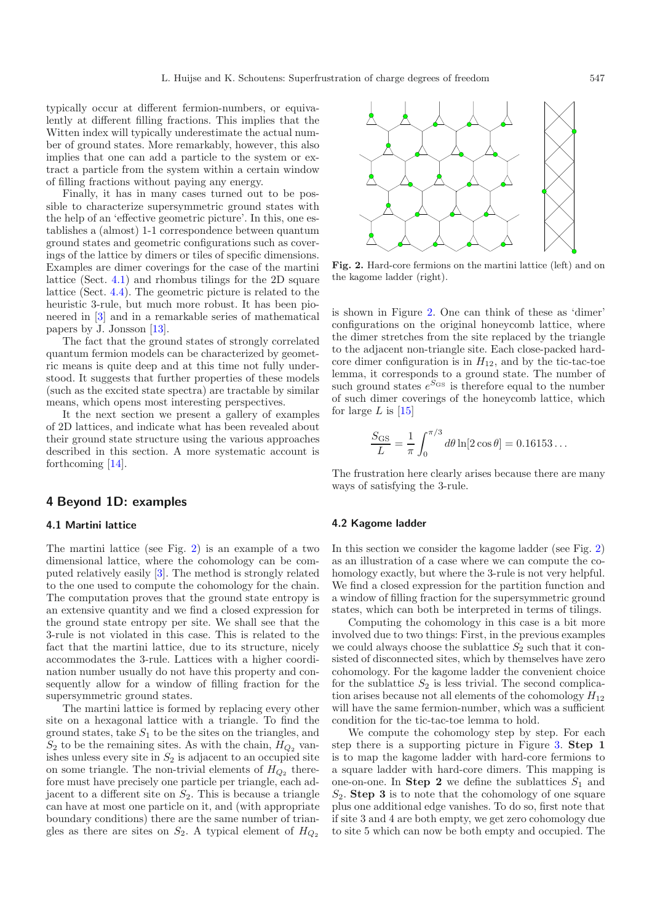typically occur at different fermion-numbers, or equivalently at different filling fractions. This implies that the Witten index will typically underestimate the actual number of ground states. More remarkably, however, this also implies that one can add a particle to the system or extract a particle from the system within a certain window of filling fractions without paying any energy.

Finally, it has in many cases turned out to be possible to characterize supersymmetric ground states with the help of an 'effective geometric picture'. In this, one establishes a (almost) 1-1 correspondence between quantum ground states and geometric configurations such as coverings of the lattice by dimers or tiles of specific dimensions. Examples are dimer coverings for the case of the martini lattice (Sect. [4.1\)](#page-5-1) and rhombus tilings for the 2D square lattice (Sect. [4.4\)](#page-7-0). The geometric picture is related to the heuristic 3-rule, but much more robust. It has been pioneered in [\[3](#page-8-2)] and in a remarkable series of mathematical papers by J. Jonsson [\[13](#page-8-13)].

The fact that the ground states of strongly correlated quantum fermion models can be characterized by geometric means is quite deep and at this time not fully understood. It suggests that further properties of these models (such as the excited state spectra) are tractable by similar means, which opens most interesting perspectives.

It the next section we present a gallery of examples of 2D lattices, and indicate what has been revealed about their ground state structure using the various approaches described in this section. A more systematic account is forthcoming [\[14\]](#page-8-14).

### <span id="page-5-0"></span>**4 Beyond 1D: examples**

#### <span id="page-5-1"></span>**4.1 Martini lattice**

The martini lattice (see Fig. [2\)](#page-5-2) is an example of a two dimensional lattice, where the cohomology can be computed relatively easily [\[3](#page-8-2)]. The method is strongly related to the one used to compute the cohomology for the chain. The computation proves that the ground state entropy is an extensive quantity and we find a closed expression for the ground state entropy per site. We shall see that the 3-rule is not violated in this case. This is related to the fact that the martini lattice, due to its structure, nicely accommodates the 3-rule. Lattices with a higher coordination number usually do not have this property and consequently allow for a window of filling fraction for the supersymmetric ground states.

The martini lattice is formed by replacing every other site on a hexagonal lattice with a triangle. To find the ground states, take  $S_1$  to be the sites on the triangles, and  $S_2$  to be the remaining sites. As with the chain,  $H_{Q_2}$  vanishes unless every site in  $S_2$  is adjacent to an occupied site on some triangle. The non-trivial elements of  $H_{Q_2}$  therefore must have precisely one particle per triangle, each adjacent to a different site on  $S_2$ . This is because a triangle can have at most one particle on it, and (with appropriate boundary conditions) there are the same number of triangles as there are sites on  $S_2$ . A typical element of  $H_{Q_2}$ 

<span id="page-5-2"></span>

**Fig. 2.** Hard-core fermions on the martini lattice (left) and on the kagome ladder (right).

is shown in Figure [2.](#page-5-2) One can think of these as 'dimer' configurations on the original honeycomb lattice, where the dimer stretches from the site replaced by the triangle to the adjacent non-triangle site. Each close-packed hardcore dimer configuration is in  $H_{12}$ , and by the tic-tac-toe lemma, it corresponds to a ground state. The number of such ground states  $e^{S_{\text{GS}}}$  is therefore equal to the number of such dimer coverings of the honeycomb lattice, which for large L is  $[15]$  $[15]$ 

$$
\frac{S_{\rm GS}}{L} = \frac{1}{\pi} \int_0^{\pi/3} d\theta \ln[2\cos\theta] = 0.16153...
$$

The frustration here clearly arises because there are many ways of satisfying the 3-rule.

#### **4.2 Kagome ladder**

In this section we consider the kagome ladder (see Fig. [2\)](#page-5-2) as an illustration of a case where we can compute the cohomology exactly, but where the 3-rule is not very helpful. We find a closed expression for the partition function and a window of filling fraction for the supersymmetric ground states, which can both be interpreted in terms of tilings.

Computing the cohomology in this case is a bit more involved due to two things: First, in the previous examples we could always choose the sublattice  $S_2$  such that it consisted of disconnected sites, which by themselves have zero cohomology. For the kagome ladder the convenient choice for the sublattice  $S_2$  is less trivial. The second complication arises because not all elements of the cohomology  ${\cal H}_{12}$ will have the same fermion-number, which was a sufficient condition for the tic-tac-toe lemma to hold.

We compute the cohomology step by step. For each step there is a supporting picture in Figure [3.](#page-6-1) **Step 1** is to map the kagome ladder with hard-core fermions to a square ladder with hard-core dimers. This mapping is one-on-one. In **Step 2** we define the sublattices  $S_1$  and  $S_2$ . **Step 3** is to note that the cohomology of one square plus one additional edge vanishes. To do so, first note that if site 3 and 4 are both empty, we get zero cohomology due to site 5 which can now be both empty and occupied. The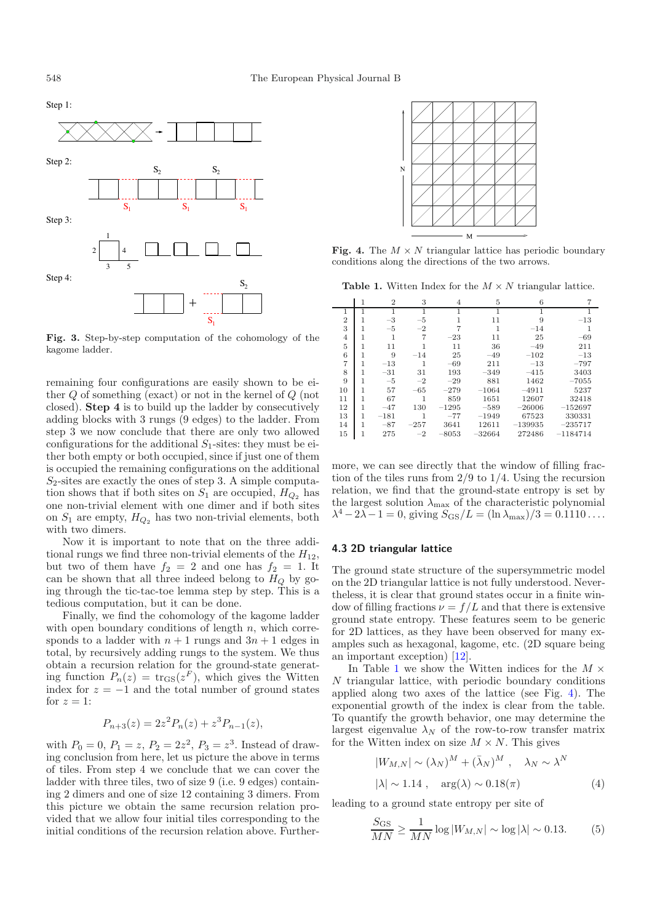<span id="page-6-1"></span>

**Fig. 3.** Step-by-step computation of the cohomology of the kagome ladder.

remaining four configurations are easily shown to be either Q of something (exact) or not in the kernel of Q (not closed). **Step 4** is to build up the ladder by consecutively adding blocks with 3 rungs (9 edges) to the ladder. From step 3 we now conclude that there are only two allowed configurations for the additional  $S_1$ -sites: they must be either both empty or both occupied, since if just one of them is occupied the remaining configurations on the additional  $S_2$ -sites are exactly the ones of step 3. A simple computation shows that if both sites on  $S_1$  are occupied,  $H_{Q_2}$  has one non-trivial element with one dimer and if both sites on  $S_1$  are empty,  $H_{Q_2}$  has two non-trivial elements, both with two dimers.

Now it is important to note that on the three additional rungs we find three non-trivial elements of the  $H_{12}$ , but two of them have  $f_2 = 2$  and one has  $f_2 = 1$ . It can be shown that all three indeed belong to  $H_Q$  by going through the tic-tac-toe lemma step by step. This is a tedious computation, but it can be done.

Finally, we find the cohomology of the kagome ladder with open boundary conditions of length  $n$ , which corresponds to a ladder with  $n + 1$  rungs and  $3n + 1$  edges in total, by recursively adding rungs to the system. We thus obtain a recursion relation for the ground-state generating function  $P_n(z) = \text{tr}_{\text{GS}}(z^F)$ , which gives the Witten index for  $z = -1$  and the total number of ground states for  $z = 1$ :

$$
P_{n+3}(z) = 2z^2 P_n(z) + z^3 P_{n-1}(z),
$$

with  $P_0 = 0$ ,  $P_1 = z$ ,  $P_2 = 2z^2$ ,  $P_3 = z^3$ . Instead of drawing conclusion from here, let us picture the above in terms of tiles. From step 4 we conclude that we can cover the ladder with three tiles, two of size 9 (i.e. 9 edges) containing 2 dimers and one of size 12 containing 3 dimers. From this picture we obtain the same recursion relation provided that we allow four initial tiles corresponding to the initial conditions of the recursion relation above. Further-

<span id="page-6-3"></span><span id="page-6-2"></span>

**Fig. 4.** The  $M \times N$  triangular lattice has periodic boundary conditions along the directions of the two arrows.

**Table 1.** Witten Index for the  $M \times N$  triangular lattice.

|                |   | $\overline{2}$ | 3      | 4       | 5        | 6         |            |
|----------------|---|----------------|--------|---------|----------|-----------|------------|
| 1              |   |                | 1      |         |          |           |            |
| $\overline{2}$ | 1 | $-3$           | $-5$   |         | 11       | 9         | $-13$      |
| 3              | 1 | $-5$           | $-2$   |         | 1        | $-14$     |            |
| $\overline{4}$ |   |                | 7      | $-23$   | 11       | 25        | $-69$      |
| 5              | 1 | 11             |        | 11      | 36       | $-49$     | 211        |
| 6              | 1 | 9              | $-14$  | 25      | $-49$    | $-102$    | $-13$      |
| 7              |   | $-13$          |        | $-69$   | 211      | $-13$     | $-797$     |
| 8              | 1 | $-31$          | 31     | 193     | $-349$   | $-415$    | 3403       |
| 9              |   | $-5$           | $-2$   | $-29$   | 881      | 1462      | $-7055$    |
| 10             | 1 | 57             | $-65$  | $-279$  | $-1064$  | $-4911$   | 5237       |
| 11             | 1 | 67             | 1      | 859     | 1651     | 12607     | 32418      |
| 12             | 1 | $-47$          | 130    | $-1295$ | $-589$   | $-26006$  | $-152697$  |
| 13             | 1 | $-181$         | 1      | $-77$   | $-1949$  | 67523     | 330331     |
| 14             | 1 | $-87$          | $-257$ | 3641    | 12611    | $-139935$ | $-235717$  |
| 15             |   | 275            | $-2$   | $-8053$ | $-32664$ | 272486    | $-1184714$ |

more, we can see directly that the window of filling fraction of the tiles runs from  $2/9$  to  $1/4$ . Using the recursion relation, we find that the ground-state entropy is set by the largest solution  $\lambda_{\text{max}}$  of the characteristic polynomial  $\lambda^4 - 2\lambda - 1 = 0$ , giving  $S_{\text{GS}}/L = (\ln \lambda_{\text{max}})/3 = 0.1110 \ldots$ 

### <span id="page-6-0"></span>**4.3 2D triangular lattice**

The ground state structure of the supersymmetric model on the 2D triangular lattice is not fully understood. Nevertheless, it is clear that ground states occur in a finite window of filling fractions  $\nu = f/L$  and that there is extensive ground state entropy. These features seem to be generic for 2D lattices, as they have been observed for many examples such as hexagonal, kagome, etc. (2D square being an important exception) [\[12\]](#page-8-12).

In Table [1](#page-6-2) we show the Witten indices for the  $M \times$ N triangular lattice, with periodic boundary conditions applied along two axes of the lattice (see Fig. [4\)](#page-6-3). The exponential growth of the index is clear from the table. To quantify the growth behavior, one may determine the largest eigenvalue  $\lambda_N$  of the row-to-row transfer matrix for the Witten index on size  $M \times N$ . This gives

$$
|W_{M,N}| \sim (\lambda_N)^M + (\bar{\lambda}_N)^M , \quad \lambda_N \sim \lambda^N
$$
  

$$
|\lambda| \sim 1.14 , \quad \arg(\lambda) \sim 0.18(\pi)
$$
 (4)

leading to a ground state entropy per site of

$$
\frac{S_{\rm GS}}{MN} \ge \frac{1}{MN} \log |W_{M,N}| \sim \log |\lambda| \sim 0.13. \tag{5}
$$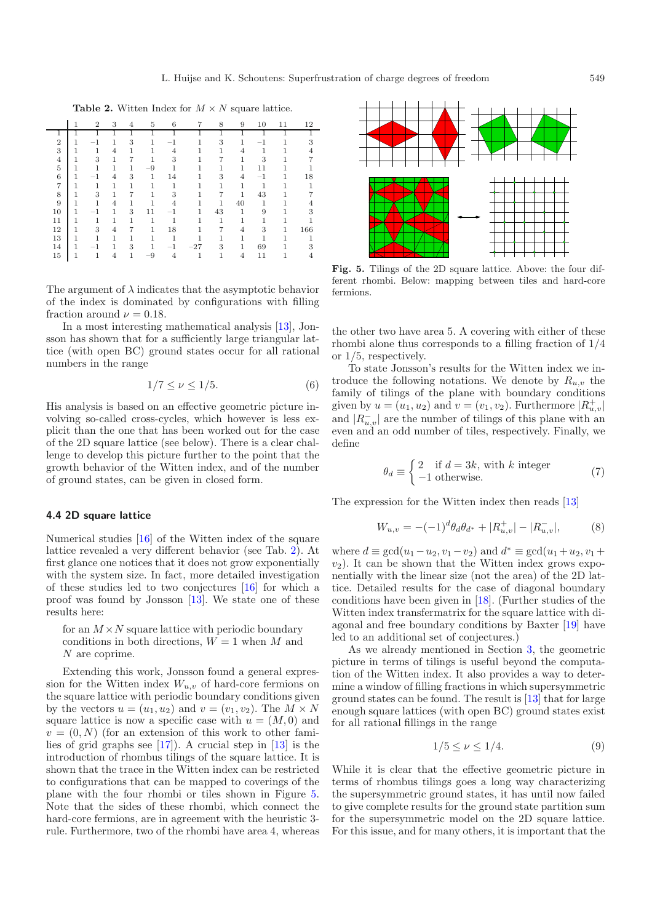<span id="page-7-1"></span>**Table 2.** Witten Index for  $M \times N$  square lattice.

|                |   | $\overline{2}$           | 3 | 4 | 5    | 6       | 7        | 8  | 9  | 10      | 11 | 12  |
|----------------|---|--------------------------|---|---|------|---------|----------|----|----|---------|----|-----|
|                |   |                          |   |   |      |         |          |    |    |         |    |     |
| $\overline{2}$ |   | $-1$                     |   | 3 | 1    | $^{-1}$ |          | 3  |    | - 1     |    | 3   |
| 3              |   |                          | 4 | 1 |      | 4       |          |    | 4  |         |    |     |
| $\overline{4}$ | 1 | 3                        | 1 | 7 | 1    | 3       |          |    | 1  | 3       |    |     |
| $\overline{5}$ |   | 1                        | 1 | 1 | $-9$ | 1       |          | 1  |    | 11      |    |     |
| 6              | 1 | $-1$                     | 4 | 3 | 1    | 14      |          | 3  | 4  | $^{-1}$ |    | 18  |
| $\overline{7}$ | 1 | 1                        | 1 | 1 | 1    | 1       |          | 1  |    | 1       |    |     |
| 8              | 1 | 3                        | 1 | 7 | 1    | 3       |          | 7  | 1  | 43      |    |     |
| 9              | 1 | 1                        | 4 | 1 | 1    | 4       |          | 1  | 40 | 1       |    |     |
| 10             |   | $\overline{\phantom{a}}$ | 1 | 3 | 11   | $^{-1}$ | 1        | 43 | 1  | 9       |    | 3   |
| 11             |   |                          | 1 | 1 | 1    | 1       |          | 1  | 1  |         |    |     |
| 12             | 1 | 3                        | 4 | 7 | 1    | 18      |          |    | 4  | 3       | 1  | 166 |
| 13             |   | 1                        | 1 | 1 | 1    | 1       |          |    |    |         |    |     |
| 14             |   |                          | 1 | 3 | 1    | $-1$    | $^{-27}$ | 3  |    | 69      |    | 3   |
| 15             |   |                          | 4 | 1 | $-9$ |         | 1        |    | 4  | 11      |    |     |

The argument of  $\lambda$  indicates that the asymptotic behavior of the index is dominated by configurations with filling fraction around  $\nu = 0.18$ .

In a most interesting mathematical analysis [\[13\]](#page-8-13), Jonsson has shown that for a sufficiently large triangular lattice (with open BC) ground states occur for all rational numbers in the range

$$
1/7 \le \nu \le 1/5. \tag{6}
$$

His analysis is based on an effective geometric picture involving so-called cross-cycles, which however is less explicit than the one that has been worked out for the case of the 2D square lattice (see below). There is a clear challenge to develop this picture further to the point that the growth behavior of the Witten index, and of the number of ground states, can be given in closed form.

#### <span id="page-7-0"></span>**4.4 2D square lattice**

Numerical studies [\[16\]](#page-8-16) of the Witten index of the square lattice revealed a very different behavior (see Tab. [2\)](#page-7-1). At first glance one notices that it does not grow exponentially with the system size. In fact, more detailed investigation of these studies led to two conjectures [\[16\]](#page-8-16) for which a proof was found by Jonsson [\[13](#page-8-13)]. We state one of these results here:

for an  $M \times N$  square lattice with periodic boundary conditions in both directions,  $W = 1$  when M and N are coprime.

Extending this work, Jonsson found a general expression for the Witten index  $W_{u,v}$  of hard-core fermions on the square lattice with periodic boundary conditions given by the vectors  $u = (u_1, u_2)$  and  $v = (v_1, v_2)$ . The  $M \times N$ square lattice is now a specific case with  $u = (M, 0)$  and  $v = (0, N)$  (for an extension of this work to other families of grid graphs see [\[17\]](#page-8-17)). A crucial step in [\[13](#page-8-13)] is the introduction of rhombus tilings of the square lattice. It is shown that the trace in the Witten index can be restricted to configurations that can be mapped to coverings of the plane with the four rhombi or tiles shown in Figure [5.](#page-7-2) Note that the sides of these rhombi, which connect the hard-core fermions, are in agreement with the heuristic 3 rule. Furthermore, two of the rhombi have area 4, whereas

<span id="page-7-2"></span>

**Fig. 5.** Tilings of the 2D square lattice. Above: the four different rhombi. Below: mapping between tiles and hard-core fermions.

the other two have area 5. A covering with either of these rhombi alone thus corresponds to a filling fraction of 1/4 or 1/5, respectively.

To state Jonsson's results for the Witten index we introduce the following notations. We denote by  $R_{u,v}$  the family of tilings of the plane with boundary conditions given by  $u = (u_1, u_2)$  and  $v = (v_1, v_2)$ . Furthermore  $|R_{u,v}^+|$ and  $|R_{u,v}^-|$  are the number of tilings of this plane with an even and an odd number of tiles, respectively. Finally, we define

$$
\theta_d \equiv \begin{cases} 2 & \text{if } d = 3k, \text{ with } k \text{ integer} \\ -1 & \text{otherwise.} \end{cases}
$$
 (7)

The expression for the Witten index then reads [\[13](#page-8-13)]

$$
W_{u,v} = -(-1)^d \theta_d \theta_{d^*} + |R_{u,v}^+| - |R_{u,v}^-|,\tag{8}
$$

where  $d \equiv \gcd(u_1 - u_2, v_1 - v_2)$  and  $d^* \equiv \gcd(u_1 + u_2, v_1 + v_2)$  $v_2$ ). It can be shown that the Witten index grows exponentially with the linear size (not the area) of the 2D lattice. Detailed results for the case of diagonal boundary conditions have been given in [\[18\]](#page-8-18). (Further studies of the Witten index transfermatrix for the square lattice with diagonal and free boundary conditions by Baxter [\[19](#page-8-19)] have led to an additional set of conjectures.)

As we already mentioned in Section [3,](#page-4-0) the geometric picture in terms of tilings is useful beyond the computation of the Witten index. It also provides a way to determine a window of filling fractions in which supersymmetric ground states can be found. The result is [\[13](#page-8-13)] that for large enough square lattices (with open BC) ground states exist for all rational fillings in the range

$$
1/5 \le \nu \le 1/4. \tag{9}
$$

While it is clear that the effective geometric picture in terms of rhombus tilings goes a long way characterizing the supersymmetric ground states, it has until now failed to give complete results for the ground state partition sum for the supersymmetric model on the 2D square lattice. For this issue, and for many others, it is important that the